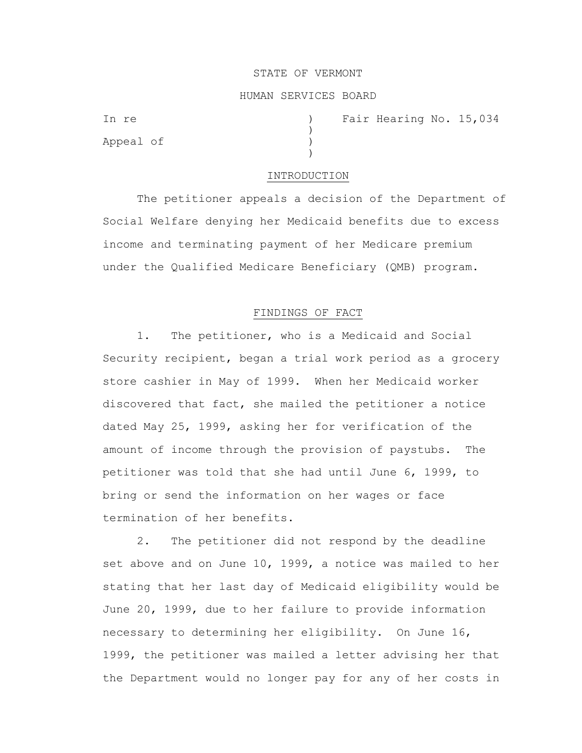#### STATE OF VERMONT

#### HUMAN SERVICES BOARD

)

)

Appeal of )

In re (a) The Fair Hearing No. 15,034

#### INTRODUCTION

The petitioner appeals a decision of the Department of Social Welfare denying her Medicaid benefits due to excess income and terminating payment of her Medicare premium under the Qualified Medicare Beneficiary (QMB) program.

# FINDINGS OF FACT

1. The petitioner, who is a Medicaid and Social Security recipient, began a trial work period as a grocery store cashier in May of 1999. When her Medicaid worker discovered that fact, she mailed the petitioner a notice dated May 25, 1999, asking her for verification of the amount of income through the provision of paystubs. The petitioner was told that she had until June 6, 1999, to bring or send the information on her wages or face termination of her benefits.

2. The petitioner did not respond by the deadline set above and on June 10, 1999, a notice was mailed to her stating that her last day of Medicaid eligibility would be June 20, 1999, due to her failure to provide information necessary to determining her eligibility. On June 16, 1999, the petitioner was mailed a letter advising her that the Department would no longer pay for any of her costs in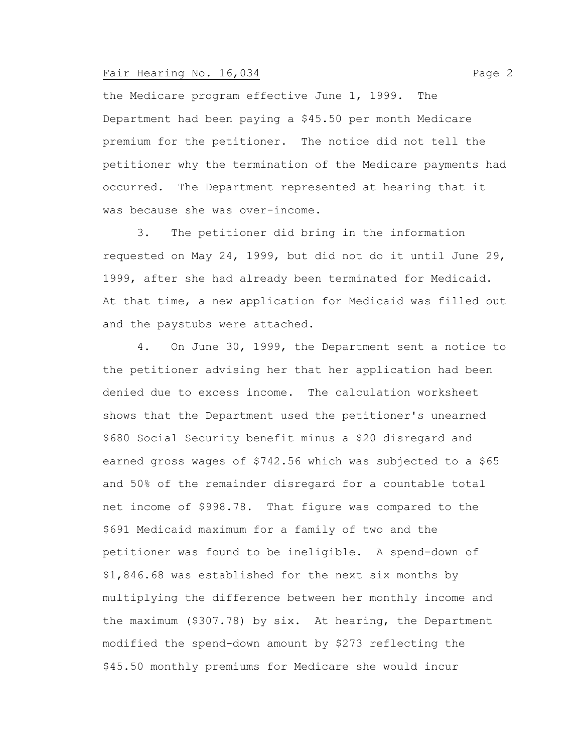the Medicare program effective June 1, 1999. The Department had been paying a \$45.50 per month Medicare premium for the petitioner. The notice did not tell the petitioner why the termination of the Medicare payments had occurred. The Department represented at hearing that it was because she was over-income.

3. The petitioner did bring in the information requested on May 24, 1999, but did not do it until June 29, 1999, after she had already been terminated for Medicaid. At that time, a new application for Medicaid was filled out and the paystubs were attached.

4. On June 30, 1999, the Department sent a notice to the petitioner advising her that her application had been denied due to excess income. The calculation worksheet shows that the Department used the petitioner's unearned \$680 Social Security benefit minus a \$20 disregard and earned gross wages of \$742.56 which was subjected to a \$65 and 50% of the remainder disregard for a countable total net income of \$998.78. That figure was compared to the \$691 Medicaid maximum for a family of two and the petitioner was found to be ineligible. A spend-down of \$1,846.68 was established for the next six months by multiplying the difference between her monthly income and the maximum (\$307.78) by six. At hearing, the Department modified the spend-down amount by \$273 reflecting the \$45.50 monthly premiums for Medicare she would incur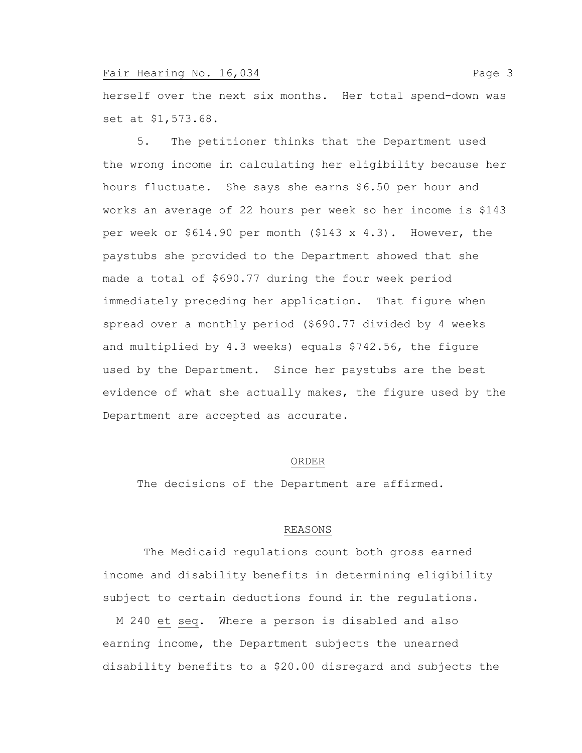herself over the next six months. Her total spend-down was set at \$1,573.68.

5. The petitioner thinks that the Department used the wrong income in calculating her eligibility because her hours fluctuate. She says she earns \$6.50 per hour and works an average of 22 hours per week so her income is \$143 per week or \$614.90 per month (\$143 x 4.3). However, the paystubs she provided to the Department showed that she made a total of \$690.77 during the four week period immediately preceding her application. That figure when spread over a monthly period (\$690.77 divided by 4 weeks and multiplied by 4.3 weeks) equals \$742.56, the figure used by the Department. Since her paystubs are the best evidence of what she actually makes, the figure used by the Department are accepted as accurate.

#### ORDER

The decisions of the Department are affirmed.

#### REASONS

The Medicaid regulations count both gross earned income and disability benefits in determining eligibility subject to certain deductions found in the regulations.

 M 240 et seq. Where a person is disabled and also earning income, the Department subjects the unearned disability benefits to a \$20.00 disregard and subjects the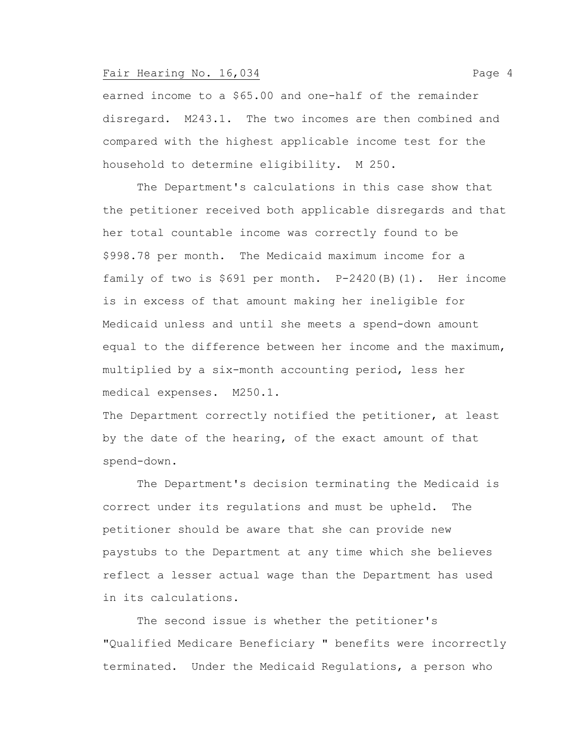earned income to a \$65.00 and one-half of the remainder disregard. M243.1. The two incomes are then combined and compared with the highest applicable income test for the household to determine eligibility. M 250.

The Department's calculations in this case show that the petitioner received both applicable disregards and that her total countable income was correctly found to be \$998.78 per month. The Medicaid maximum income for a family of two is \$691 per month. P-2420(B)(1). Her income is in excess of that amount making her ineligible for Medicaid unless and until she meets a spend-down amount equal to the difference between her income and the maximum, multiplied by a six-month accounting period, less her medical expenses. M250.1.

The Department correctly notified the petitioner, at least by the date of the hearing, of the exact amount of that spend-down.

The Department's decision terminating the Medicaid is correct under its regulations and must be upheld. The petitioner should be aware that she can provide new paystubs to the Department at any time which she believes reflect a lesser actual wage than the Department has used in its calculations.

The second issue is whether the petitioner's "Qualified Medicare Beneficiary " benefits were incorrectly terminated. Under the Medicaid Regulations, a person who